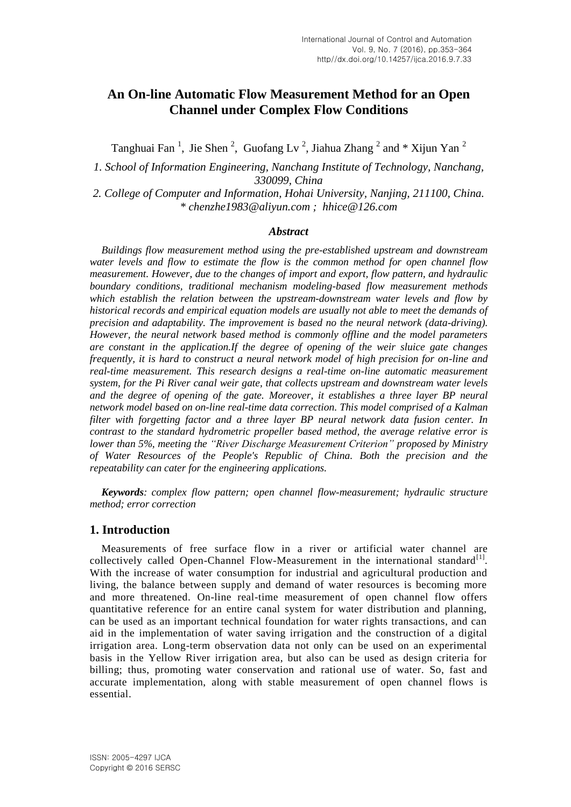# **An On-line Automatic Flow Measurement Method for an Open Channel under Complex Flow Conditions**

Tanghuai Fan<sup>1</sup>, Jie Shen<sup>2</sup>, Guofang Lv<sup>2</sup>, Jiahua Zhang<sup>2</sup> and \* Xijun Yan<sup>2</sup>

*1. School of Information Engineering, Nanchang Institute of Technology, Nanchang, 330099, China*

*2. College of Computer and Information, Hohai University, Nanjing, 211100, China. \* chenzhe1983@aliyun.com ; hhice@126.com*

#### *Abstract*

*Buildings flow measurement method using the pre-established upstream and downstream water levels and flow to estimate the flow is the common method for open channel flow measurement. However, due to the changes of import and export, flow pattern, and hydraulic boundary conditions, traditional mechanism modeling-based flow measurement methods which establish the relation between the upstream-downstream water levels and flow by historical records and empirical equation models are usually not able to meet the demands of precision and adaptability. The improvement is based no the neural network (data-driving). However, the neural network based method is commonly offline and the model parameters are constant in the application.If the degree of opening of the weir sluice gate changes frequently, it is hard to construct a neural network model of high precision for on-line and real-time measurement. This research designs a real-time on-line automatic measurement system, for the Pi River canal weir gate, that collects upstream and downstream water levels and the degree of opening of the gate. Moreover, it establishes a three layer BP neural network model based on on-line real-time data correction. This model comprised of a Kalman filter with forgetting factor and a three layer BP neural network data fusion center. In contrast to the standard hydrometric propeller based method, the average relative error is lower than 5%, meeting the "River Discharge Measurement Criterion" proposed by Ministry of Water Resources of the People's Republic of China. Both the precision and the repeatability can cater for the engineering applications.*

*Keywords: complex flow pattern; open channel flow-measurement; hydraulic structure method; error correction*

### **1. Introduction**

Measurements of free surface flow in a river or artificial water channel are collectively called Open-Channel Flow-Measurement in the international standard<sup>[1]</sup>. With the increase of water consumption for industrial and agricultural production and living, the balance between supply and demand of water resources is becoming more and more threatened. On-line real-time measurement of open channel flow offers quantitative reference for an entire canal system for water distribution and planning, can be used as an important technical foundation for water rights transactions, and can aid in the implementation of water saving irrigation and the construction of a digital irrigation area. Long-term observation data not only can be used on an experimental basis in the Yellow River irrigation area, but also can be used as design criteria for billing; thus, promoting water conservation and rational use of water. So, fast and accurate implementation, along with stable measurement of open channel flows is essential.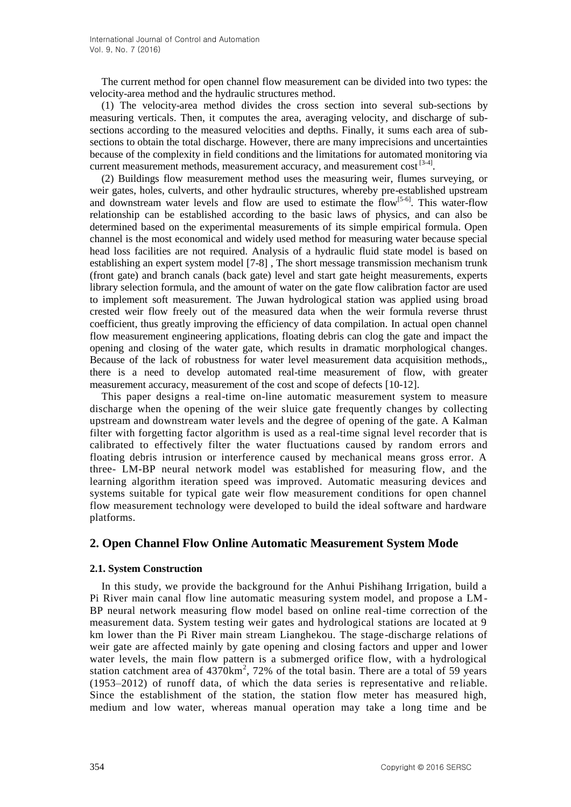The current method for open channel flow measurement can be divided into two types: the velocity-area method and the hydraulic structures method.

(1) The velocity-area method divides the cross section into several sub-sections by measuring verticals. Then, it computes the area, averaging velocity, and discharge of subsections according to the measured velocities and depths. Finally, it sums each area of subsections to obtain the total discharge. However, there are many imprecisions and uncertainties because of the complexity in field conditions and the limitations for automated monitoring via current measurement methods, measurement accuracy, and measurement cost [3-4].

(2) Buildings flow measurement method uses the measuring weir, flumes surveying, or weir gates, holes, culverts, and other hydraulic structures, whereby pre-established upstream and downstream water levels and flow are used to estimate the  $f\text{low}^{[5-6]}$ . This water-flow relationship can be established according to the basic laws of physics, and can also be determined based on the experimental measurements of its simple empirical formula. Open channel is the most economical and widely used method for measuring water because special head loss facilities are not required. Analysis of a hydraulic fluid state model is based on establishing an expert system model [7-8] , The short message transmission mechanism trunk (front gate) and branch canals (back gate) level and start gate height measurements, experts library selection formula, and the amount of water on the gate flow calibration factor are used to implement soft measurement. The Juwan hydrological station was applied using broad crested weir flow freely out of the measured data when the weir formula reverse thrust coefficient, thus greatly improving the efficiency of data compilation. In actual open channel flow measurement engineering applications, floating debris can clog the gate and impact the opening and closing of the water gate, which results in dramatic morphological changes. Because of the lack of robustness for water level measurement data acquisition methods,, there is a need to develop automated real-time measurement of flow, with greater measurement accuracy, measurement of the cost and scope of defects [10-12].

This paper designs a real-time on-line automatic measurement system to measure discharge when the opening of the weir sluice gate frequently changes by collecting upstream and downstream water levels and the degree of opening of the gate. A Kalman filter with forgetting factor algorithm is used as a real-time signal level recorder that is calibrated to effectively filter the water fluctuations caused by random errors and floating debris intrusion or interference caused by mechanical means gross error. A three- LM-BP neural network model was established for measuring flow, and the learning algorithm iteration speed was improved. Automatic measuring devices and systems suitable for typical gate weir flow measurement conditions for open channel flow measurement technology were developed to build the ideal software and hardware platforms.

# **2. Open Channel Flow Online Automatic Measurement System Mode**

### **2.1. System Construction**

In this study, we provide the background for the Anhui Pishihang Irrigation, build a Pi River main canal flow line automatic measuring system model, and propose a LM-BP neural network measuring flow model based on online real-time correction of the measurement data. System testing weir gates and hydrological stations are located at 9 km lower than the Pi River main stream Lianghekou. The stage-discharge relations of weir gate are affected mainly by gate opening and closing factors and upper and lower water levels, the main flow pattern is a submerged orifice flow, with a hydrological station catchment area of  $4370 \text{km}^2$ , 72% of the total basin. There are a total of 59 years (1953–2012) of runoff data, of which the data series is representative and reliable. Since the establishment of the station, the station flow meter has measured high, medium and low water, whereas manual operation may take a long time and be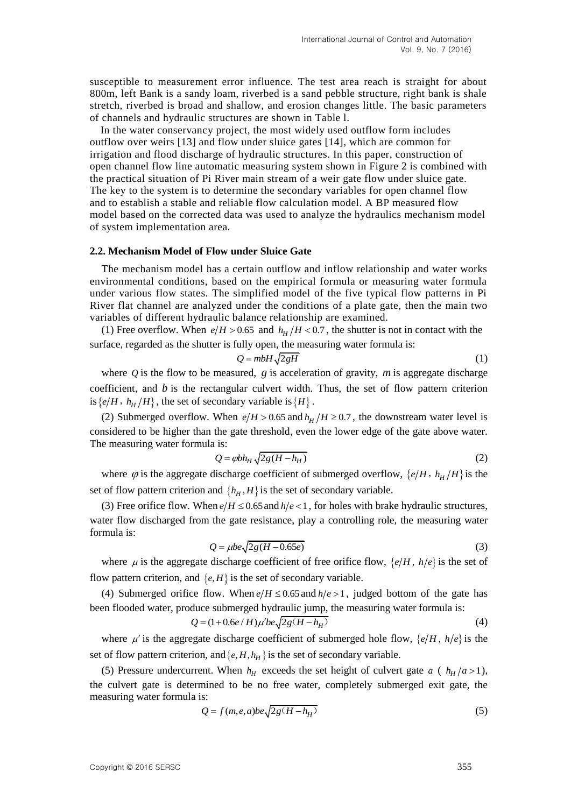susceptible to measurement error influence. The test area reach is straight for about 800m, left Bank is a sandy loam, riverbed is a sand pebble structure, right bank is shale stretch, riverbed is broad and shallow, and erosion changes little. The basic parameters of channels and hydraulic structures are shown in Table l.

In the water conservancy project, the most widely used outflow form includes outflow over weirs [13] and flow under sluice gates [14], which are common for irrigation and flood discharge of hydraulic structures. In this paper, construction of open channel flow line automatic measuring system shown in Figure 2 is combined with the practical situation of Pi River main stream of a weir gate flow under sluice gate. The key to the system is to determine the secondary variables for open channel flow and to establish a stable and reliable flow calculation model. A BP measured flow model based on the corrected data was used to analyze the hydraulics mechanism model of system implementation area.

#### **2.2. Mechanism Model of Flow under Sluice Gate**

The mechanism model has a certain outflow and inflow relationship and water works environmental conditions, based on the empirical formula or measuring water formula under various flow states. The simplified model of the five typical flow patterns in Pi River flat channel are analyzed under the conditions of a plate gate, then the main two variables of different hydraulic balance relationship are examined.

(1) Free overflow. When  $e/H > 0.65$  and  $h_H/H < 0.7$ , the shutter is not in contact with the surface, regarded as the shutter is fully open, the measuring water formula is:

$$
Q = mbH\sqrt{2gH} \tag{1}
$$

where  $Q$  is the flow to be measured,  $g$  is acceleration of gravity,  $m$  is aggregate discharge coefficient, and  $b$  is the rectangular culvert width. Thus, the set of flow pattern criterion is { $e/H$ ,  $h_H/H$ }, the set of secondary variable is { $H$ }.

(2) Submerged overflow. When  $e/H > 0.65$  and  $h_H/H \ge 0.7$ , the downstream water level is considered to be higher than the gate threshold, even the lower edge of the gate above water. The measuring water formula is:

$$
Q = \varphi b h_H \sqrt{2g(H - h_H)}
$$
 (2)

where  $\varphi$  is the aggregate discharge coefficient of submerged overflow,  $\{e/H, h_H/H\}$  is the set of flow pattern criterion and  $\{h_H, H\}$  is the set of secondary variable.

(3) Free orifice flow. When  $e/H \le 0.65$  and  $h/e < 1$ , for holes with brake hydraulic structures, water flow discharged from the gate resistance, play a controlling role, the measuring water formula is:

$$
Q = \mu b e \sqrt{2g(H - 0.65e)}
$$
 (3)

where  $\mu$  is the aggregate discharge coefficient of free orifice flow,  $\{e/H, h/e\}$  is the set of flow pattern criterion, and  $\{e, H\}$  is the set of secondary variable.

(4) Submerged orifice flow. When  $e/H \le 0.65$  and  $h/e > 1$ , judged bottom of the gate has

been flooded water, produce submerged hydraulic jump, the measuring water formula is:  
\n
$$
Q = (1 + 0.6e/H)\mu'be\sqrt{2g(H - h_H)}
$$
\n(4)

where  $\mu'$  is the aggregate discharge coefficient of submerged hole flow,  $\{e/H, h/e\}$  is the set of flow pattern criterion, and  $\{e, H, h_H\}$  is the set of secondary variable.

(5) Pressure undercurrent. When  $h$ <sup>*H*</sup> exceeds the set height of culvert gate *a* ( $h$ <sup>*H*</sup> $/$ *a* > 1), the culvert gate is determined to be no free water, completely submerged exit gate, the measuring water formula is:

$$
Q = f(m, e, a)be\sqrt{2g(H - h_H)}
$$
\n(5)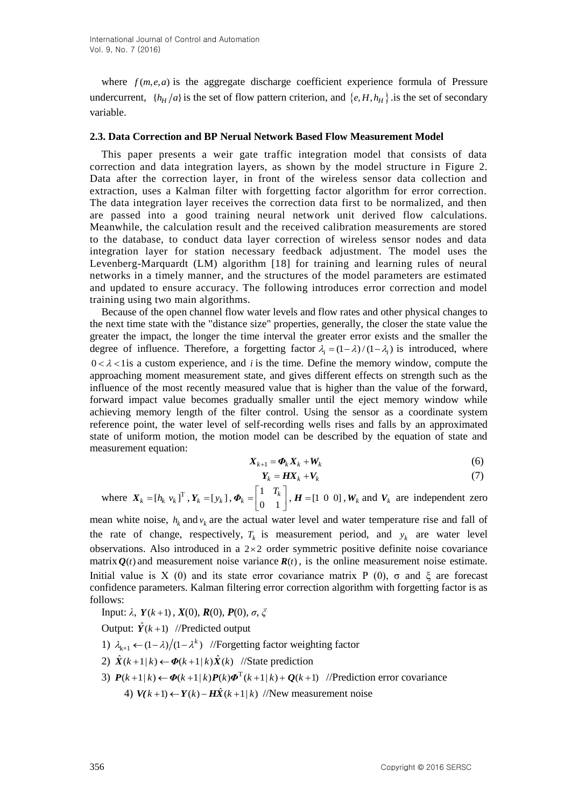where  $f(m, e, a)$  is the aggregate discharge coefficient experience formula of Pressure undercurrent,  $\{h_H/a\}$  is the set of flow pattern criterion, and  $\{e, H, h_H\}$  is the set of secondary variable.

#### **2.3. Data Correction and BP Nerual Network Based Flow Measurement Model**

This paper presents a weir gate traffic integration model that consists of data correction and data integration layers, as shown by the model structure in Figure 2. Data after the correction layer, in front of the wireless sensor data collection and extraction, uses a Kalman filter with forgetting factor algorithm for error correction. The data integration layer receives the correction data first to be normalized, and then are passed into a good training neural network unit derived flow calculations. Meanwhile, the calculation result and the received calibration measurements are stored to the database, to conduct data layer correction of wireless sensor nodes and data integration layer for station necessary feedback adjustment. The model uses the Levenberg-Marquardt (LM) algorithm [18] for training and learning rules of neural networks in a timely manner, and the structures of the model parameters are estimated and updated to ensure accuracy. The following introduces error correction and model training using two main algorithms.

Because of the open channel flow water levels and flow rates and other physical changes to the next time state with the "distance size" properties, generally, the closer the state value the greater the impact, the longer the time interval the greater error exists and the smaller the degree of influence. Therefore, a forgetting factor  $\lambda_i = (1 - \lambda) / (1 - \lambda_i)$  is introduced, where  $0 < \lambda < 1$  is a custom experience, and *i* is the time. Define the memory window, compute the approaching moment measurement state, and gives different effects on strength such as the influence of the most recently measured value that is higher than the value of the forward, forward impact value becomes gradually smaller until the eject memory window while achieving memory length of the filter control. Using the sensor as a coordinate system reference point, the water level of self-recording wells rises and falls by an approximated state of uniform motion, the motion model can be described by the equation of state and measurement equation:

$$
X_{k+1} = \boldsymbol{\Phi}_k \boldsymbol{X}_k + \boldsymbol{W}_k \tag{6}
$$

$$
Y_k = H X_k + V_k \tag{7}
$$

where 
$$
X_k = [h_k v_k]^T
$$
,  $Y_k = [y_k]$ ,  $\boldsymbol{\Phi}_k = \begin{bmatrix} 1 & T_k \\ 0 & 1 \end{bmatrix}$ ,  $\boldsymbol{H} = [1 \ 0 \ 0]$ ,  $W_k$  and  $V_k$  are independent zero

mean white noise,  $h_k$  and  $v_k$  are the actual water level and water temperature rise and fall of the rate of change, respectively,  $T_k$  is measurement period, and  $y_k$  are water level observations. Also introduced in a  $2\times 2$  order symmetric positive definite noise covariance matrix  $Q(t)$  and measurement noise variance  $R(t)$ , is the online measurement noise estimate. Initial value is X (0) and its state error covariance matrix P (0), σ and  $ξ$  are forecast confidence parameters. Kalman filtering error correction algorithm with forgetting factor is as follows:

Input: 
$$
\lambda
$$
,  $Y(k+1)$ ,  $X(0)$ ,  $R(0)$ ,  $P(0)$ ,  $\sigma$ ,  $\xi$ 

Output:  $\hat{Y}(k+1)$  //Predicted output

- 1)  $\lambda_{k+1} \leftarrow (1 \lambda) / (1 \lambda^k)$  //Forgetting factor weighting factor
- 2)  $\hat{X}(k+1|k) \leftarrow \Phi(k+1|k) \hat{X}(k)$  //State prediction
- 2)  $X(k+1|k) \leftarrow \Phi(k+1|k)X(k)$  //State prediction<br>3)  $P(k+1|k) \leftarrow \Phi(k+1|k)P(k)\Phi^{T}(k+1|k) + Q(k+1)$  //Prediction error covariance 4)  $V(k+1) \leftarrow Y(k) - H\hat{X}(k+1|k)$  //New measurement noise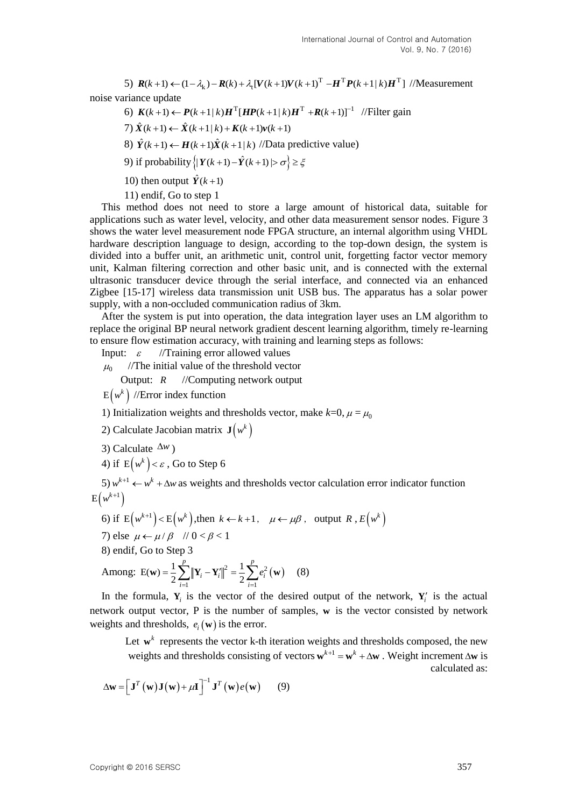5)  $R(k+1) \leftarrow (1 - \lambda_k) - R(k) + \lambda_1 [V(k+1)V(k+1)]^T$  $R(k+1) \leftarrow (1 - \lambda_k) - R(k) + \lambda_t [V(k+1)V(k+1)^T - H^T P(k+1|k)H^T]$  //Measurement noise variance update

riance update<br>
6)  $K(k+1) \leftarrow P(k+1|k)H^T[HP(k+1|k)H^T + R(k+1)]^{-1}$  //Filter gain<br>
7)  $\hat{X}(k+1) \leftarrow \hat{X}(k+1|k) + K(k+1)\nu(k+1)$ 

$$
7) \hat{X}(k+1) \leftarrow \hat{X}(k+1|k) + K(k+1)\nu(k+1)
$$

8)  $\hat{Y}(k+1) \leftarrow H(k+1)\hat{X}(k+1|k)$  //Data predictive value)

9) if probability  $\left\{ |Y(k+1) - \hat{Y}(k+1)| > \sigma \right\} \geq \xi$ 

10) then output  $\hat{Y}(k+1)$ 

11) endif, Go to step 1

This method does not need to store a large amount of historical data, suitable for applications such as water level, velocity, and other data measurement sensor nodes. Figure 3 shows the water level measurement node FPGA structure, an internal algorithm using VHDL hardware description language to design, according to the top-down design, the system is divided into a buffer unit, an arithmetic unit, control unit, forgetting factor vector memory unit, Kalman filtering correction and other basic unit, and is connected with the external ultrasonic transducer device through the serial interface, and connected via an enhanced Zigbee [15-17] wireless data transmission unit USB bus. The apparatus has a solar power supply, with a non-occluded communication radius of 3km.

After the system is put into operation, the data integration layer uses an LM algorithm to replace the original BP neural network gradient descent learning algorithm, timely re-learning to ensure flow estimation accuracy, with training and learning steps as follows:

Input:  $\varepsilon$ //Training error allowed values

 $\mu_0$ //The initial value of the threshold vector

Output:  $R$ *R* //Computing network output

 $\mathrm{E} \! \left(w^k\right)/\!/$ Error index function

1) Initialization weights and thresholds vector, make  $k=0$ ,  $\mu = \mu_0$ 

2) Calculate Jacobian matrix  $\mathbf{J}(w^k)$ 

3) Calculate  $\Delta w$ )

4) if  $\mathop{\rm E}\nolimits \bigl( w^k \, \bigr) < \varepsilon$  , Go to Step 6

5)  $w^{k+1} \leftarrow w^k + \Delta w$  as weights and thresholds vector calculation error indicator function  $E(w^{k+1})$ 

\n- 6) if 
$$
E(w^{k+1}) < E(w^k)
$$
, then  $k \leftarrow k+1$ ,  $\mu \leftarrow \mu \beta$ , output  $R$ ,  $E(w^k)$
\n- 7) else  $\mu \leftarrow \mu / \beta \quad \text{if } 0 < \beta < 1$
\n- 8) endif, Go to Step 3
\n

8) endif, Go to Step 3  
Among: 
$$
E(\mathbf{w}) = \frac{1}{2} \sum_{i=1}^{p} ||\mathbf{Y}_i - \mathbf{Y}_i||^2 = \frac{1}{2} \sum_{i=1}^{p} e_i^2(\mathbf{w})
$$
 (8)

In the formula,  $Y_i$  is the vector of the desired output of the network,  $Y_i$  is the actual network output vector, P is the number of samples, **w** is the vector consisted by network weights and thresholds,  $e_i(\mathbf{w})$  is the error.

Let  $\mathbf{w}^k$  represents the vector k-th iteration weights and thresholds composed, the new weights and thresholds consisting of vectors  $\mathbf{w}^{k+1} = \mathbf{w}^k + \Delta \mathbf{w}$ . Weight increment  $\Delta \mathbf{w}$  is calculated as:

$$
\Delta \mathbf{w} = \left[ \mathbf{J}^T \left( \mathbf{w} \right) \mathbf{J} \left( \mathbf{w} \right) + \mu \mathbf{I} \right]^{-1} \mathbf{J}^T \left( \mathbf{w} \right) e \left( \mathbf{w} \right) \tag{9}
$$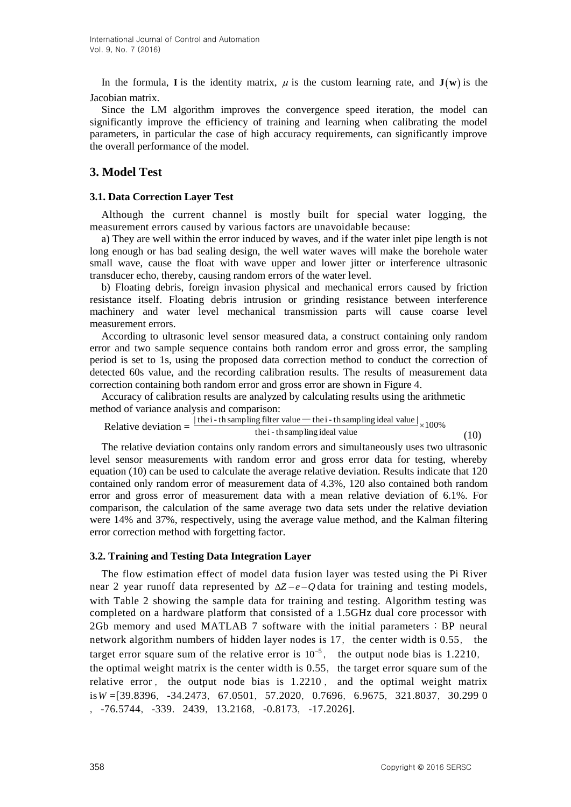In the formula, I is the identity matrix,  $\mu$  is the custom learning rate, and  $J(w)$  is the Jacobian matrix.

Since the LM algorithm improves the convergence speed iteration, the model can significantly improve the efficiency of training and learning when calibrating the model parameters, in particular the case of high accuracy requirements, can significantly improve the overall performance of the model.

# **3. Model Test**

### **3.1. Data Correction Layer Test**

Although the current channel is mostly built for special water logging, the measurement errors caused by various factors are unavoidable because:

a) They are well within the error induced by waves, and if the water inlet pipe length is not long enough or has bad sealing design, the well water waves will make the borehole water small wave, cause the float with wave upper and lower jitter or interference ultrasonic transducer echo, thereby, causing random errors of the water level.

b) Floating debris, foreign invasion physical and mechanical errors caused by friction resistance itself. Floating debris intrusion or grinding resistance between interference machinery and water level mechanical transmission parts will cause coarse level measurement errors.

According to ultrasonic level sensor measured data, a construct containing only random error and two sample sequence contains both random error and gross error, the sampling period is set to 1s, using the proposed data correction method to conduct the correction of detected 60s value, and the recording calibration results. The results of measurement data correction containing both random error and gross error are shown in Figure 4.

Accuracy of calibration results are analyzed by calculating results using the arithmetic method of variance analysis and comparison:

Relative deviation 
$$
= \frac{|\text{the } i\text{-th sampling filter value} - \text{the } i\text{-th sampling ideal value}|}{\text{the } i\text{-th sampling ideal value}} \times 100\%
$$
 (10)

The relative deviation contains only random errors and simultaneously uses two ultrasonic level sensor measurements with random error and gross error data for testing, whereby equation (10) can be used to calculate the average relative deviation. Results indicate that 120 contained only random error of measurement data of 4.3%, 120 also contained both random error and gross error of measurement data with a mean relative deviation of 6.1%. For comparison, the calculation of the same average two data sets under the relative deviation were 14% and 37%, respectively, using the average value method, and the Kalman filtering error correction method with forgetting factor.

### **3.2. Training and Testing Data Integration Layer**

The flow estimation effect of model data fusion layer was tested using the Pi River near 2 year runoff data represented by  $\Delta Z - e - Q$  data for training and testing models, with Table 2 showing the sample data for training and testing. Algorithm testing was completed on a hardware platform that consisted of a 1.5GHz dual core processor with 2Gb memory and used MATLAB 7 software with the initial parameters:BP neural network algorithm numbers of hidden layer nodes is  $17$ , the center width is 0.55, the target error square sum of the relative error is  $10^{-5}$ , the output node bias is 1.2210, the optimal weight matrix is the center width is  $0.55$ , the target error square sum of the relative error , the output node bias is 1.2210 , and the optimal weight matrix is *W* = [39.8396, -34.2473, 67.0501, 57.2020, 0.7696, 6.9675, 321.8037, 30.299 0 ,-76.5744,-339.2439,13.2168,-0.8173,-17.2026].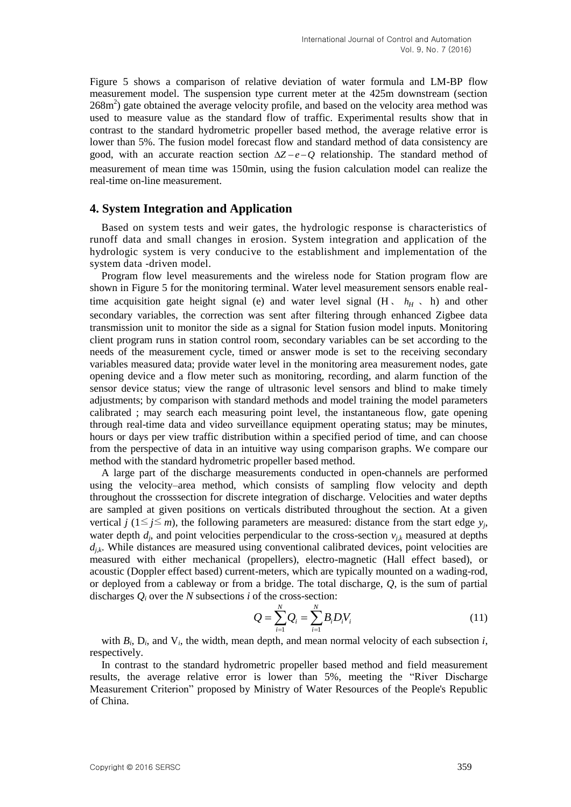Figure 5 shows a comparison of relative deviation of water formula and LM-BP flow measurement model. The suspension type current meter at the 425m downstream (section  $268m<sup>2</sup>$ ) gate obtained the average velocity profile, and based on the velocity area method was used to measure value as the standard flow of traffic. Experimental results show that in contrast to the standard hydrometric propeller based method, the average relative error is lower than 5%. The fusion model forecast flow and standard method of data consistency are good, with an accurate reaction section  $\Delta Z - e - Q$  relationship. The standard method of measurement of mean time was 150min, using the fusion calculation model can realize the real-time on-line measurement.

### **4. System Integration and Application**

Based on system tests and weir gates, the hydrologic response is characteristics of runoff data and small changes in erosion. System integration and application of the hydrologic system is very conducive to the establishment and implementation of the system data -driven model.

Program flow level measurements and the wireless node for Station program flow are shown in Figure 5 for the monitoring terminal. Water level measurement sensors enable realtime acquisition gate height signal (e) and water level signal  $(H, h<sub>H</sub>, h)$  and other secondary variables, the correction was sent after filtering through enhanced Zigbee data transmission unit to monitor the side as a signal for Station fusion model inputs. Monitoring client program runs in station control room, secondary variables can be set according to the needs of the measurement cycle, timed or answer mode is set to the receiving secondary variables measured data; provide water level in the monitoring area measurement nodes, gate opening device and a flow meter such as monitoring, recording, and alarm function of the sensor device status; view the range of ultrasonic level sensors and blind to make timely adjustments; by comparison with standard methods and model training the model parameters calibrated ; may search each measuring point level, the instantaneous flow, gate opening through real-time data and video surveillance equipment operating status; may be minutes, hours or days per view traffic distribution within a specified period of time, and can choose from the perspective of data in an intuitive way using comparison graphs. We compare our method with the standard hydrometric propeller based method.

A large part of the discharge measurements conducted in open-channels are performed using the velocity–area method, which consists of sampling flow velocity and depth throughout the crosssection for discrete integration of discharge. Velocities and water depths are sampled at given positions on verticals distributed throughout the section. At a given vertical *j* ( $1 \le j \le m$ ), the following parameters are measured: distance from the start edge  $y_j$ , water depth  $d_j$ , and point velocities perpendicular to the cross-section  $v_{j,k}$  measured at depths  $d_{jk}$ . While distances are measured using conventional calibrated devices, point velocities are measured with either mechanical (propellers), electro-magnetic (Hall effect based), or acoustic (Doppler effect based) current-meters, which are typically mounted on a wading-rod, or deployed from a cableway or from a bridge. The total discharge, *Q*, is the sum of partial discharges *Q<sup>i</sup>* over the *N* subsections *i* of the cross-section:

$$
Q = \sum_{i=1}^{N} Q_i = \sum_{i=1}^{N} B_i D_i V_i
$$
 (11)

with  $B_i$ ,  $D_i$ , and  $V_i$ , the width, mean depth, and mean normal velocity of each subsection  $i$ , respectively.

In contrast to the standard hydrometric propeller based method and field measurement results, the average relative error is lower than 5%, meeting the "River Discharge Measurement Criterion" proposed by Ministry of Water Resources of the People's Republic of China.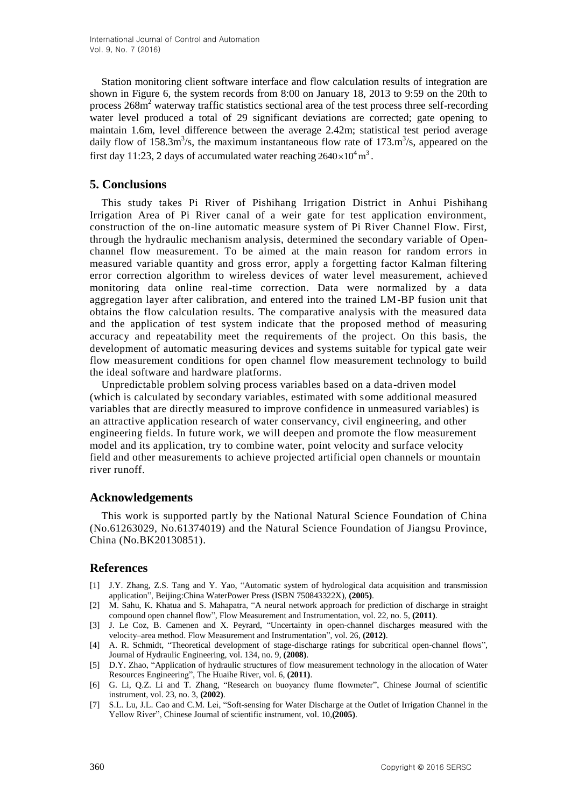Station monitoring client software interface and flow calculation results of integration are shown in Figure 6, the system records from 8:00 on January 18, 2013 to 9:59 on the 20th to process  $268m<sup>2</sup>$  waterway traffic statistics sectional area of the test process three self-recording water level produced a total of 29 significant deviations are corrected; gate opening to maintain 1.6m, level difference between the average 2.42m; statistical test period average daily flow of  $158.3 \text{m}^3/\text{s}$ , the maximum instantaneous flow rate of  $173. \text{m}^3/\text{s}$ , appeared on the first day 11:23, 2 days of accumulated water reaching  $2640 \times 10^4$  m<sup>3</sup>.

# **5. Conclusions**

This study takes Pi River of Pishihang Irrigation District in Anhui Pishihang Irrigation Area of Pi River canal of a weir gate for test application environment, construction of the on-line automatic measure system of Pi River Channel Flow. First, through the hydraulic mechanism analysis, determined the secondary variable of Openchannel flow measurement. To be aimed at the main reason for random errors in measured variable quantity and gross error, apply a forgetting factor Kalman filtering error correction algorithm to wireless devices of water level measurement, achieved monitoring data online real-time correction. Data were normalized by a data aggregation layer after calibration, and entered into the trained LM-BP fusion unit that obtains the flow calculation results. The comparative analysis with the measured data and the application of test system indicate that the proposed method of measuring accuracy and repeatability meet the requirements of the project. On this basis, the development of automatic measuring devices and systems suitable for typical gate weir flow measurement conditions for open channel flow measurement technology to build the ideal software and hardware platforms.

Unpredictable problem solving process variables based on a data-driven model (which is calculated by secondary variables, estimated with some additional measured variables that are directly measured to improve confidence in unmeasured variables) is an attractive application research of water conservancy, civil engineering, and other engineering fields. In future work, we will deepen and promote the flow measurement model and its application, try to combine water, point velocity and surface velocity field and other measurements to achieve projected artificial open channels or mountain river runoff.

### **Acknowledgements**

This work is supported partly by the National Natural Science Foundation of China (No.61263029, No.61374019) and the Natural Science Foundation of Jiangsu Province, China (No.BK20130851).

### **References**

- [1] J.Y. Zhang, Z.S. Tang and Y. Yao, "Automatic system of hydrological data acquisition and transmission application", Beijing:China WaterPower Press (ISBN 750843322X), **(2005)**.
- [2] M. Sahu, K. Khatua and S. Mahapatra, "A neural network approach for prediction of discharge in straight compound open channel flow", Flow Measurement and Instrumentation, vol. 22, no. 5, **(2011)**.
- [3] J. Le Coz, B. Camenen and X. Peyrard, "Uncertainty in open-channel discharges measured with the velocity–area method. Flow Measurement and Instrumentation", vol. 26, **(2012)**.
- [4] A. R. Schmidt, "Theoretical development of stage-discharge ratings for subcritical open-channel flows", Journal of Hydraulic Engineering, vol. 134, no. 9, **(2008)**.
- [5] D.Y. Zhao, "Application of hydraulic structures of flow measurement technology in the allocation of Water Resources Engineering", The Huaihe River, vol. 6, **(2011)**.
- [6] G. Li, Q.Z. Li and T. Zhang, "Research on buoyancy flume flowmeter", Chinese Journal of scientific instrument, vol. 23, no. 3, **(2002)**.
- [7] S.L. Lu, J.L. Cao and C.M. Lei, "Soft-sensing for Water Discharge at the Outlet of Irrigation Channel in the Yellow River", Chinese Journal of scientific instrument, vol. 10,**(2005)**.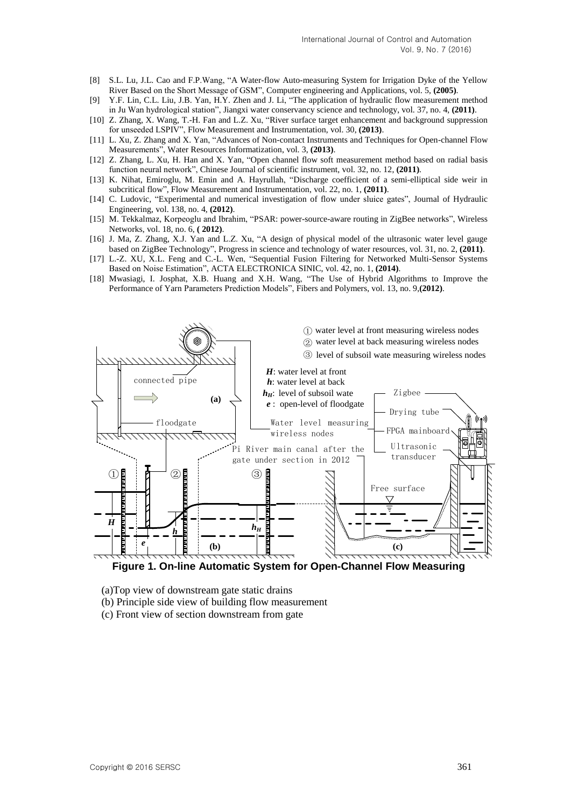- [8] S.L. Lu, J.L. Cao and F.P.Wang, "A Water-flow Auto-measuring System for Irrigation Dyke of the Yellow River Based on the Short Message of GSM", Computer engineering and Applications, vol. 5, **(2005)**.
- [9] Y.F. Lin, C.L. Liu, J.B. Yan, H.Y. Zhen and J. Li, "The application of hydraulic flow measurement method in Ju Wan hydrological station", Jiangxi water conservancy science and technology, vol. 37, no. 4, **(2011)**.
- [10] Z. Zhang, X. Wang, T.-H. Fan and L.Z. Xu, "River surface target enhancement and background suppression for unseeded LSPIV", Flow Measurement and Instrumentation, vol. 30, **(2013)**.
- [11] L. Xu, Z. Zhang and X. Yan, "Advances of Non-contact Instruments and Techniques for Open-channel Flow Measurements", Water Resources Informatization, vol. 3, **(2013)**.
- [12] Z. Zhang, L. Xu, H. Han and X. Yan, "Open channel flow soft measurement method based on radial basis function neural network", Chinese Journal of scientific instrument, vol. 32, no. 12, **(2011)**.
- [13] K. Nihat, Emiroglu, M. Emin and A. Hayrullah, "Discharge coefficient of a semi-elliptical side weir in subcritical flow", Flow Measurement and Instrumentation, vol. 22, no. 1, **(2011)**.
- [14] C. Ludovic, "Experimental and numerical investigation of flow under sluice gates", Journal of Hydraulic Engineering, vol. 138, no. 4, **(2012)**.
- [15] M. Tekkalmaz, Korpeoglu and Ibrahim, "PSAR: power-source-aware routing in ZigBee networks", Wireless Networks, vol. 18, no. 6, **( 2012)**.
- [16] J. Ma, Z. Zhang, X.J. Yan and L.Z. Xu, "A design of physical model of the ultrasonic water level gauge based on ZigBee Technology", Progress in science and technology of water resources, vol. 31, no. 2, **(2011)**.
- [17] L.-Z. XU, X.L. Feng and C.-L. Wen, "Sequential Fusion Filtering for Networked Multi-Sensor Systems Based on Noise Estimation", ACTA ELECTRONICA SINIC, vol. 42, no. 1, **(2014)**.
- [18] Mwasiagi, I. Josphat, X.B. Huang and X.H. Wang, "The Use of Hybrid Algorithms to Improve the Performance of Yarn Parameters Prediction Models", Fibers and Polymers, vol. 13, no. 9,**(2012)**.



**Figure 1. On-line Automatic System for Open-Channel Flow Measuring**

- (a)Top view of downstream gate static drains
- (b) Principle side view of building flow measurement
- (c) Front view of section downstream from gate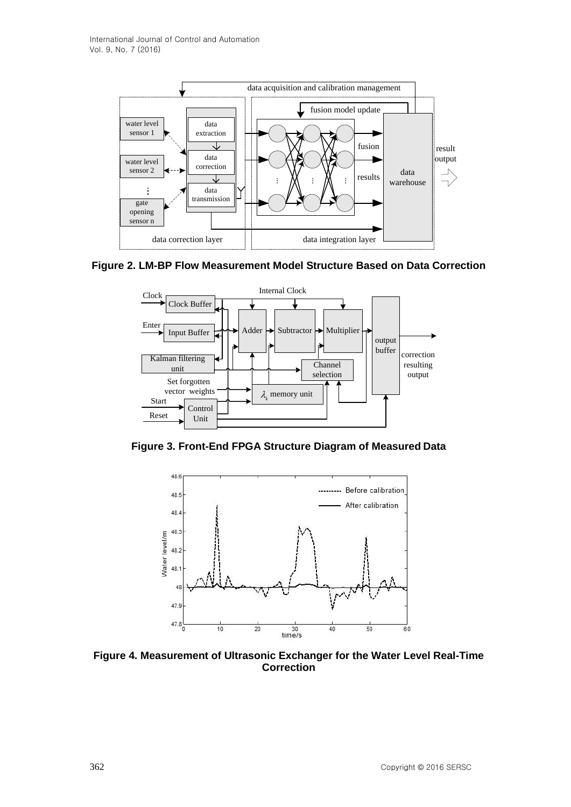





**Figure 3. Front-End FPGA Structure Diagram of Measured Data**



**Figure 4. Measurement of Ultrasonic Exchanger for the Water Level Real-Time Correction**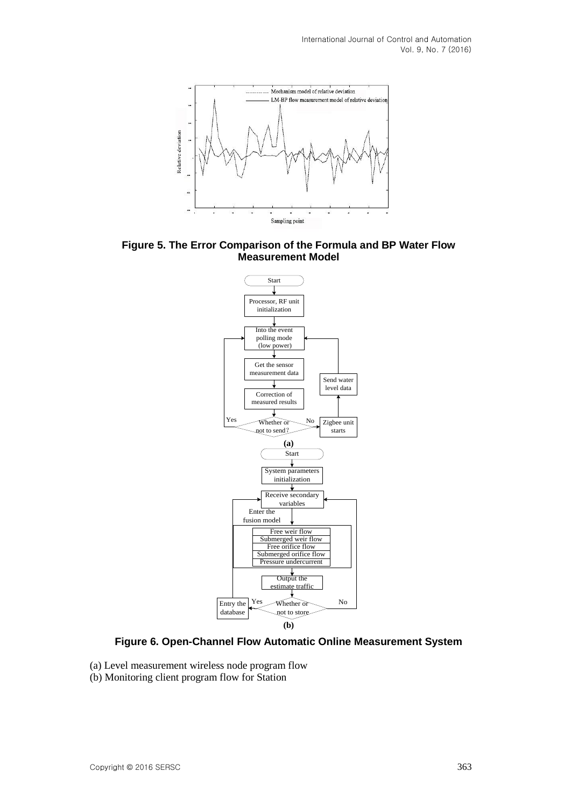

**Figure 5. The Error Comparison of the Formula and BP Water Flow Measurement Model**



**Figure 6. Open-Channel Flow Automatic Online Measurement System**

- (a) Level measurement wireless node program flow
- (b) Monitoring client program flow for Station